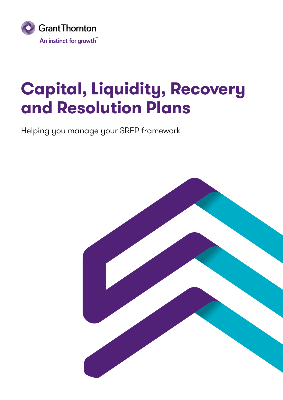

## **Capital, Liquidity, Recovery and Resolution Plans**

Helping you manage your SREP framework

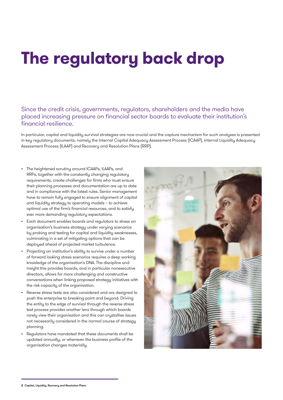## **The regulatory back drop**

Since the credit crisis, governments, regulators, shareholders and the media have placed increasing pressure on financial sector boards to evaluate their institution's financial resilience.

In particular, capital and liquidity survival strategies are now crucial and the capture mechanism for such analyses is presented in key regulatory documents, namely the Internal Capital Adequacy Assessment Process (ICAAP), Internal Liquidity Adequacy Assessment Process (ILAAP) and Recovery and Resolution Plans (RRP).

- The heightened scrutiny around ICAAPs, ILAAPs, and RRPs, together with the constantly changing regulatory requirements, create challenges for firms who must ensure their planning processes and documentation are up to date and in compliance with the latest rules. Senior management have to remain fully engaged to ensure alignment of capital and liquidity strategy to operating models – to achieve optimal use of the firm's financial resources, and to satisfy ever more demanding regulatory expectations.
- Each document enables boards and regulators to stress an organisation's business strategy under varying scenarios by probing and testing for capital and liquidity weaknesses, culminating in a set of mitigating options that can be deployed ahead of projected market turbulence.
- Projecting an institution's ability to survive under a number of forward looking stress scenarios requires a deep working knowledge of the organisation's DNA. The discipline and insight this provides boards, and in particular nonexecutive directors, allows for more challenging and constructive conversations when linking proposed strategy initiatives with the risk capacity of the organisation.
- Reverse stress tests are also considered and are designed to push the enterprise to breaking point and beyond. Driving the entity to the edge of survival through the reverse stress test process provides another lens through which boards rarely view their organisation and this can crystallise issues not necessarily considered in the normal course of strategy planning.
- Regulators have mandated that these documents shall be updated annually, or whenever the business profile of the organisation changes materially.

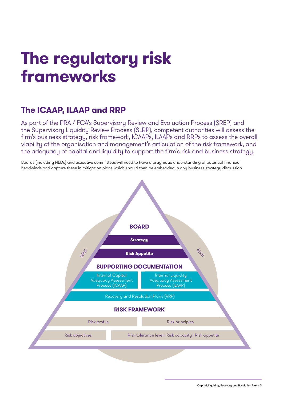## **The regulatory risk frameworks**

### **The ICAAP, ILAAP and RRP**

As part of the PRA / FCA's Supervisory Review and Evaluation Process (SREP) and the Supervisory Liquidity Review Process (SLRP), competent authorities will assess the firm's business strategy, risk framework, ICAAPs, ILAAPs and RRPs to assess the overall viability of the organisation and management's articulation of the risk framework, and the adequacy of capital and liquidity to support the firm's risk and business strategy.

Boards (including NEDs) and executive committees will need to have a pragmatic understanding of potential financial headwinds and capture these in mitigation plans which should then be embedded in any business strategy discussion.

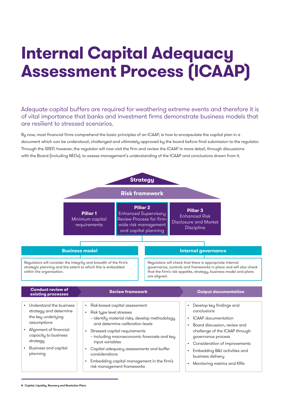## **Internal Capital Adequacy Assessment Process (ICAAP)**

### Adequate capital buffers are required for weathering extreme events and therefore it is of vital importance that banks and investment firms demonstrate business models that are resilient to stressed scenarios.

By now, most financial firms comprehend the basic principles of an ICAAP, ie how to encapsulate the capital plan in a document which can be understood, challenged and ultimately approved by the board before final submission to the regulator. Through the SREP, however, the regulator will now visit the firm and review the ICAAP in more detail, through discussions with the Board (including NEDs), to assess management's understanding of the ICAAP and conclusions drawn from it.



**<sup>4</sup>** Capital, Liquidity, Recovery and Resolution Plans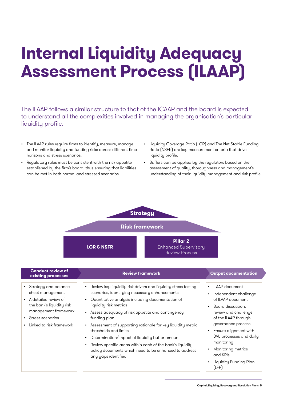## **Internal Liquidity Adequacy Assessment Process (ILAAP)**

The ILAAP follows a similar structure to that of the ICAAP and the board is expected to understand all the complexities involved in managing the organisation's particular liquidity profile.

- The ILAAP rules require firms to identify, measure, manage and monitor liquidity and funding risks across different time horizons and stress scenarios.
- Regulatory rules must be consistent with the risk appetite established by the firm's board, thus ensuring that liabilities can be met in both normal and stressed scenarios.
- Liquidity Coverage Ratio (LCR) and The Net Stable Funding Ratio (NSFR) are key measurement criteria that drive liquidity profile.
- Buffers can be applied by the regulators based on the assessment of quality, thoroughness and management's understanding of their liquidity management and risk profile.



| <b>Conduct review of</b><br>existing processes                                                    | <b>Review framework</b>                                                                                                                                                                                                 | <b>Output documentation</b>                                                                                                     |
|---------------------------------------------------------------------------------------------------|-------------------------------------------------------------------------------------------------------------------------------------------------------------------------------------------------------------------------|---------------------------------------------------------------------------------------------------------------------------------|
| • Strategy and balance<br>sheet management<br>• A detailed review of<br>the bank's liquidity risk | Review key liquidity risk drivers and liquidity stress testing<br>$\bullet$<br>scenarios, identifying necessary enhancements<br>Quantitative analysis including documentation of<br>$\bullet$<br>liquidity risk metrics | <b>ILAAP</b> document<br>$\bullet$<br>Independent challenge<br>$\bullet$<br>of ILAAP document<br>Board discussion,<br>$\bullet$ |
| management framework<br>• Stress scenarios<br>Linked to risk framework<br>$\bullet$               | Assess adequacy of risk appetite and contingency<br>$\bullet$<br>funding plan                                                                                                                                           | review and challenge<br>of the ILAAP through                                                                                    |
|                                                                                                   | Assessment of supporting rationale for key liquidity metric<br>$\bullet$<br>thresholds and limits                                                                                                                       | governance process<br>Ensure alignment with<br>$\bullet$                                                                        |
|                                                                                                   | Determination/impact of liquidity buffer amount<br>$\bullet$<br>Review specific areas within each of the bank's liquidity<br>$\bullet$                                                                                  | BAU processes and daily<br>monitoring                                                                                           |
|                                                                                                   | policy documents which need to be enhanced to address<br>any gaps identified                                                                                                                                            | Monitoring metrics<br>$\bullet$<br>and KRIs                                                                                     |
|                                                                                                   |                                                                                                                                                                                                                         | Liquidity Funding Plan<br>$\bullet$<br>(LFP)                                                                                    |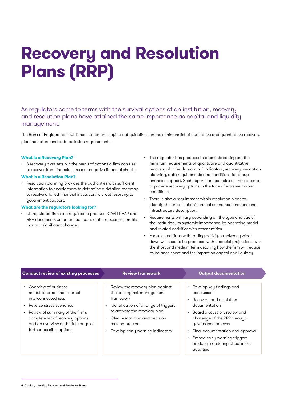## **Recovery and Resolution Plans (RRP)**

As regulators come to terms with the survival options of an institution, recovery and resolution plans have attained the same importance as capital and liquidity management.

The Bank of England has published statements laying out guidelines on the minimum list of qualitative and quantitative recovery plan indicators and data collation requirements.

#### **What is a Recovery Plan?**

• A recovery plan sets out the menu of actions a firm can use to recover from financial stress or negative financial shocks.

#### **What is a Resolution Plan?**

• Resolution planning provides the authorities with sufficient information to enable them to determine a detailed roadmap to resolve a failed financial institution, without resorting to government support.

#### **What are the regulators looking for?**

- UK regulated firms are required to produce ICAAP, ILAAP and RRP documents on an annual basis or if the business profile incurs a significant change.
- The regulator has produced statements setting out the minimum requirements of qualitative and quantitative recovery plan 'early warning' indicators, recovery invocation planning, data requirements and conditions for group financial support. Such reports are complex as they attempt to provide recovery options in the face of extreme market conditions.
- There is also a requirement within resolution plans to identify the organisation's critical economic functions and infrastructure description.
- Requirements will vary depending on the type and size of the institution, its systemic importance, its operating model and related activities with other entities.
- For selected firms with trading activity, a solvency winddown will need to be produced with financial projections over the short and medium term detailing how the firm will reduce its balance sheet and the impact on capital and liquidity.

| <b>Conduct review of existing processes</b>                                                                                                                                                    | <b>Review framework</b>                                                                                                                                       | <b>Output documentation</b>                                                                                                                                       |
|------------------------------------------------------------------------------------------------------------------------------------------------------------------------------------------------|---------------------------------------------------------------------------------------------------------------------------------------------------------------|-------------------------------------------------------------------------------------------------------------------------------------------------------------------|
| • Overview of business<br>model, internal end external<br>interconnectedness                                                                                                                   | Review the recovery plan against<br>the existing risk management<br>framework                                                                                 | Develop key findings and<br>$\bullet$<br>conclusions<br>Recovery and resolution<br>$\bullet$                                                                      |
| Reverse stress scenarios<br>$\bullet$<br>Review of summary of the firm's<br>$\bullet$<br>complete list of recovery options<br>and an overview of the full range of<br>further possible options | Identification of a range of triggers<br>to activate the recovery plan<br>Clear escalation and decision<br>making process<br>Develop early warning indicators | documentation<br>Board discussion, review and<br>$\bullet$<br>challenge of the RRP through<br>governance process<br>Final documentation and approval<br>$\bullet$ |
|                                                                                                                                                                                                |                                                                                                                                                               | Embed early warning triggers<br>$\bullet$<br>on daily monitoring of business<br>activities                                                                        |

**6** Capital, Liquidity, Recovery and Resolution Plans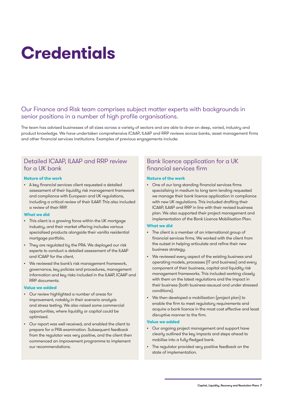# **Credentials**

### Our Finance and Risk team comprises subject matter experts with backgrounds in senior positions in a number of high profile organisations.

The team has advised businesses of all sizes across a variety of sectors and are able to draw on deep, varied, industry and product knowledge. We have undertaken comprehensive ICAAP, ILAAP and RRP reviews across banks, asset management firms and other financial services institutions. Examples of previous engagements include:

### Detailed ICAAP, ILAAP and RRP review for a UK bank

#### **Nature of the work**

• A key financial services client requested a detailed assessment of their liquidity risk management framework and compliance with European and UK regulations, including a critical review of their ILAAP. This also included a review of their RRP.

#### **What we did**

- This client is a growing force within the UK mortgage industry, and their market offering includes various specialised products alongside their vanilla residential mortgage portfolio.
- They are regulated by the PRA. We deployed our risk experts to conduct a detailed assessment of the ILAAP and ICAAP for the client.
- We reviewed the bank's risk management framework, governance, key policies and procedures, management information and key risks included in the ILAAP, ICAAP and RRP documents.

#### **Value we added**

- Our review highlighted a number of areas for improvement, notably in their scenario analysis and stress testing. We also raised some commercial opportunities, where liquidity or capital could be optimised.
- Our report was well received, and enabled the client to prepare for a PRA examination. Subsequent feedback from the regulator was very positive, and the client then commenced an improvement programme to implement our recommendations.

### Bank licence application for a UK financial services firm

#### **Nature of the work**

• One of our long standing financial services firms specialising in medium to long term lending requested we manage their bank licence application in compliance with new UK regulations. This included drafting their ICAAP, ILAAP and RRP in line with their revised business plan. We also supported their project management and implementation of the Bank Licence Mobilisation Plan.

#### **What we did**

- The client is a member of an international group of financial services firms. We worked with the client from the outset in helping articulate and refine their new business strategy.
- We reviewed every aspect of the existing business and operating models, processes (IT and business) and every component of their business, capital and liquidity risk management frameworks. This included working closely with them on the latest regulations and the impact in their business (both business-asusual and under stressed conditions).
- We then developed a mobilisation (project plan) to enable the firm to meet regulatory requirements and acquire a bank licence in the most cost effective and least disruptive manner to the firm.

#### **Value we added**

- Our ongoing project management and support have clearly outlined the key impacts and steps ahead to mobilise into a fully-fledged bank.
- The regulator provided very positive feedback on the state of implementation.